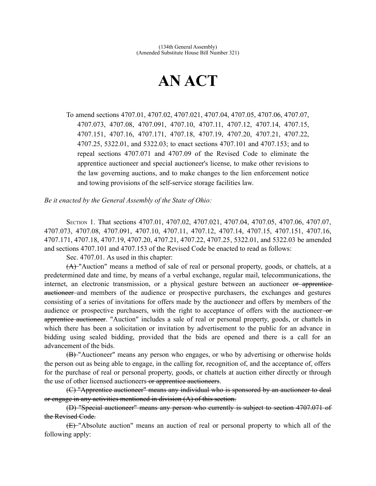## **AN ACT**

To amend sections 4707.01, 4707.02, 4707.021, 4707.04, 4707.05, 4707.06, 4707.07, 4707.073, 4707.08, 4707.091, 4707.10, 4707.11, 4707.12, 4707.14, 4707.15, 4707.151, 4707.16, 4707.171, 4707.18, 4707.19, 4707.20, 4707.21, 4707.22, 4707.25, 5322.01, and 5322.03; to enact sections 4707.101 and 4707.153; and to repeal sections 4707.071 and 4707.09 of the Revised Code to eliminate the apprentice auctioneer and special auctioneer's license, to make other revisions to the law governing auctions, and to make changes to the lien enforcement notice and towing provisions of the self-service storage facilities law.

*Be it enacted by the General Assembly of the State of Ohio:*

SECTION 1. That sections 4707.01, 4707.02, 4707.021, 4707.04, 4707.05, 4707.06, 4707.07, 4707.073, 4707.08, 4707.091, 4707.10, 4707.11, 4707.12, 4707.14, 4707.15, 4707.151, 4707.16, 4707.171, 4707.18, 4707.19, 4707.20, 4707.21, 4707.22, 4707.25, 5322.01, and 5322.03 be amended and sections 4707.101 and 4707.153 of the Revised Code be enacted to read as follows:

Sec. 4707.01. As used in this chapter:

(A) "Auction" means a method of sale of real or personal property, goods, or chattels, at a predetermined date and time, by means of a verbal exchange, regular mail, telecommunications, the internet, an electronic transmission, or a physical gesture between an auctioneer or apprenticeauctioneer and members of the audience or prospective purchasers, the exchanges and gestures consisting of a series of invitations for offers made by the auctioneer and offers by members of the audience or prospective purchasers, with the right to acceptance of offers with the auctioneer-orapprentice auctioneer. "Auction" includes a sale of real or personal property, goods, or chattels in which there has been a solicitation or invitation by advertisement to the public for an advance in bidding using sealed bidding, provided that the bids are opened and there is a call for an advancement of the bids.

(B) "Auctioneer" means any person who engages, or who by advertising or otherwise holds the person out as being able to engage, in the calling for, recognition of, and the acceptance of, offers for the purchase of real or personal property, goods, or chattels at auction either directly or through the use of other licensed auctioneers or apprentice auctioneers.

(C) "Apprentice auctioneer" means any individual who is sponsored by an auctioneer to deal or engage in any activities mentioned in division (A) of this section.

(D) "Special auctioneer" means any person who currently is subject to section 4707.071 of the Revised Code.

(E) "Absolute auction" means an auction of real or personal property to which all of the following apply: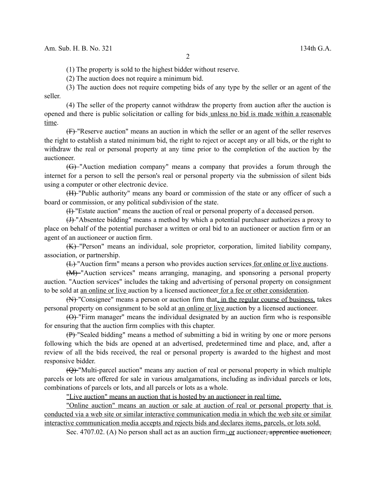(1) The property is sold to the highest bidder without reserve.

(2) The auction does not require a minimum bid.

(3) The auction does not require competing bids of any type by the seller or an agent of the seller.

(4) The seller of the property cannot withdraw the property from auction after the auction is opened and there is public solicitation or calling for bids unless no bid is made within a reasonable time.

(F) "Reserve auction" means an auction in which the seller or an agent of the seller reserves the right to establish a stated minimum bid, the right to reject or accept any or all bids, or the right to withdraw the real or personal property at any time prior to the completion of the auction by the auctioneer.

(G) "Auction mediation company" means a company that provides a forum through the internet for a person to sell the person's real or personal property via the submission of silent bids using a computer or other electronic device.

(H) "Public authority" means any board or commission of the state or any officer of such a board or commission, or any political subdivision of the state.

(I) "Estate auction" means the auction of real or personal property of a deceased person.

(J) "Absentee bidding" means a method by which a potential purchaser authorizes a proxy to place on behalf of the potential purchaser a written or oral bid to an auctioneer or auction firm or an agent of an auctioneer or auction firm.

(K) "Person" means an individual, sole proprietor, corporation, limited liability company, association, or partnership.

(L) "Auction firm" means a person who provides auction services for online or live auctions.

(M) "Auction services" means arranging, managing, and sponsoring a personal property auction. "Auction services" includes the taking and advertising of personal property on consignment to be sold at an online or live auction by a licensed auctioneer for a fee or other consideration.

(N) "Consignee" means a person or auction firm that, in the regular course of business, takes personal property on consignment to be sold at an online or live auction by a licensed auctioneer.

 $(\Theta)$  "Firm manager" means the individual designated by an auction firm who is responsible for ensuring that the auction firm complies with this chapter.

(P) "Sealed bidding" means a method of submitting a bid in writing by one or more persons following which the bids are opened at an advertised, predetermined time and place, and, after a review of all the bids received, the real or personal property is awarded to the highest and most responsive bidder.

(Q) "Multi-parcel auction" means any auction of real or personal property in which multiple parcels or lots are offered for sale in various amalgamations, including as individual parcels or lots, combinations of parcels or lots, and all parcels or lots as a whole.

"Live auction" means an auction that is hosted by an auctioneer in real time.

"Online auction" means an auction or sale at auction of real or personal property that is conducted via a web site or similar interactive communication media in which the web site or similar interactive communication media accepts and rejects bids and declares items, parcels, or lots sold.

Sec. 4707.02. (A) No person shall act as an auction firm, or auctioneer, apprentice auctioneer,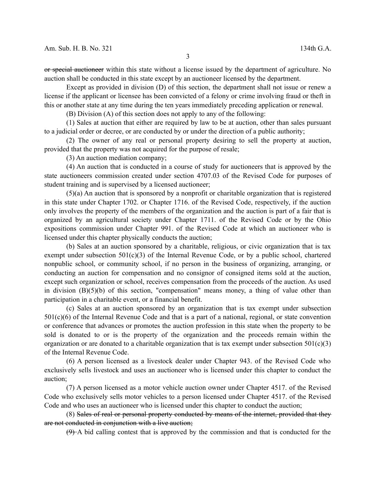or special auctioneer within this state without a license issued by the department of agriculture. No auction shall be conducted in this state except by an auctioneer licensed by the department.

Except as provided in division (D) of this section, the department shall not issue or renew a license if the applicant or licensee has been convicted of a felony or crime involving fraud or theft in this or another state at any time during the ten years immediately preceding application or renewal.

(B) Division (A) of this section does not apply to any of the following:

(1) Sales at auction that either are required by law to be at auction, other than sales pursuant to a judicial order or decree, or are conducted by or under the direction of a public authority;

(2) The owner of any real or personal property desiring to sell the property at auction, provided that the property was not acquired for the purpose of resale;

(3) An auction mediation company;

(4) An auction that is conducted in a course of study for auctioneers that is approved by the state auctioneers commission created under section 4707.03 of the Revised Code for purposes of student training and is supervised by a licensed auctioneer;

(5)(a) An auction that is sponsored by a nonprofit or charitable organization that is registered in this state under Chapter 1702. or Chapter 1716. of the Revised Code, respectively, if the auction only involves the property of the members of the organization and the auction is part of a fair that is organized by an agricultural society under Chapter 1711. of the Revised Code or by the Ohio expositions commission under Chapter 991. of the Revised Code at which an auctioneer who is licensed under this chapter physically conducts the auction;

(b) Sales at an auction sponsored by a charitable, religious, or civic organization that is tax exempt under subsection  $501(c)(3)$  of the Internal Revenue Code, or by a public school, chartered nonpublic school, or community school, if no person in the business of organizing, arranging, or conducting an auction for compensation and no consignor of consigned items sold at the auction, except such organization or school, receives compensation from the proceeds of the auction. As used in division (B)(5)(b) of this section, "compensation" means money, a thing of value other than participation in a charitable event, or a financial benefit.

(c) Sales at an auction sponsored by an organization that is tax exempt under subsection 501(c)(6) of the Internal Revenue Code and that is a part of a national, regional, or state convention or conference that advances or promotes the auction profession in this state when the property to be sold is donated to or is the property of the organization and the proceeds remain within the organization or are donated to a charitable organization that is tax exempt under subsection  $501(c)(3)$ of the Internal Revenue Code.

(6) A person licensed as a livestock dealer under Chapter 943. of the Revised Code who exclusively sells livestock and uses an auctioneer who is licensed under this chapter to conduct the auction;

(7) A person licensed as a motor vehicle auction owner under Chapter 4517. of the Revised Code who exclusively sells motor vehicles to a person licensed under Chapter 4517. of the Revised Code and who uses an auctioneer who is licensed under this chapter to conduct the auction;

(8) Sales of real or personal property conducted by means of the internet, provided that they are not conducted in conjunction with a live auction;

 $(9)$ -A bid calling contest that is approved by the commission and that is conducted for the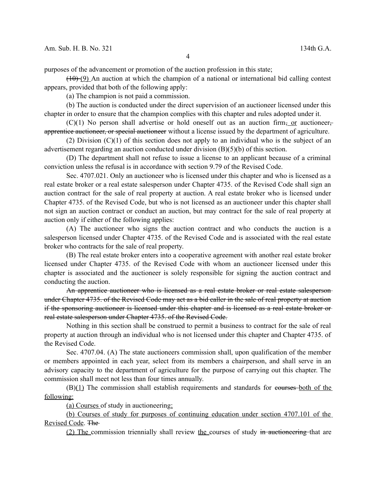purposes of the advancement or promotion of the auction profession in this state;

 $(10)(9)$  An auction at which the champion of a national or international bid calling contest appears, provided that both of the following apply:

(a) The champion is not paid a commission.

(b) The auction is conducted under the direct supervision of an auctioneer licensed under this chapter in order to ensure that the champion complies with this chapter and rules adopted under it.

 $(C)(1)$  No person shall advertise or hold oneself out as an auction firm, or auctioneer. apprentice auctioneer, or special auctioneer without a license issued by the department of agriculture.

(2) Division  $(C)(1)$  of this section does not apply to an individual who is the subject of an advertisement regarding an auction conducted under division (B)(5)(b) of this section.

(D) The department shall not refuse to issue a license to an applicant because of a criminal conviction unless the refusal is in accordance with section 9.79 of the Revised Code.

Sec. 4707.021. Only an auctioneer who is licensed under this chapter and who is licensed as a real estate broker or a real estate salesperson under Chapter 4735. of the Revised Code shall sign an auction contract for the sale of real property at auction. A real estate broker who is licensed under Chapter 4735. of the Revised Code, but who is not licensed as an auctioneer under this chapter shall not sign an auction contract or conduct an auction, but may contract for the sale of real property at auction only if either of the following applies:

(A) The auctioneer who signs the auction contract and who conducts the auction is a salesperson licensed under Chapter 4735. of the Revised Code and is associated with the real estate broker who contracts for the sale of real property.

(B) The real estate broker enters into a cooperative agreement with another real estate broker licensed under Chapter 4735. of the Revised Code with whom an auctioneer licensed under this chapter is associated and the auctioneer is solely responsible for signing the auction contract and conducting the auction.

An apprentice auctioneer who is licensed as a real estate broker or real estate salespersonunder Chapter 4735. of the Revised Code may act as a bid caller in the sale of real property at auction if the sponsoring auctioneer is licensed under this chapter and is licensed as a real estate broker or real estate salesperson under Chapter 4735. of the Revised Code.

Nothing in this section shall be construed to permit a business to contract for the sale of real property at auction through an individual who is not licensed under this chapter and Chapter 4735. of the Revised Code.

Sec. 4707.04. (A) The state auctioneers commission shall, upon qualification of the member or members appointed in each year, select from its members a chairperson, and shall serve in an advisory capacity to the department of agriculture for the purpose of carrying out this chapter. The commission shall meet not less than four times annually.

(B)(1) The commission shall establish requirements and standards for courses both of the following:

(a) Courses of study in auctioneering;

(b) Courses of study for purposes of continuing education under section 4707.101 of the Revised Code. The

(2) The commission triennially shall review the courses of study in auctioneering that are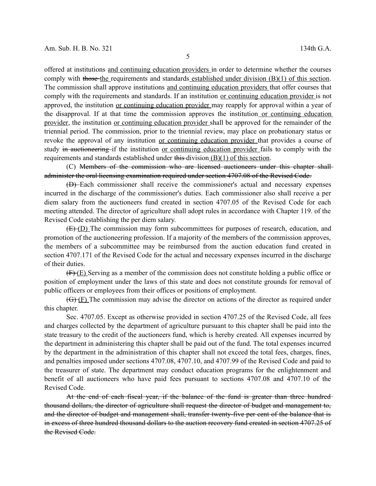offered at institutions and continuing education providers in order to determine whether the courses comply with those the requirements and standards established under division (B)(1) of this section. The commission shall approve institutions and continuing education providers that offer courses that comply with the requirements and standards. If an institution or continuing education provider is not approved, the institution or continuing education provider may reapply for approval within a year of the disapproval. If at that time the commission approves the institution or continuing education provider, the institution or continuing education provider shall be approved for the remainder of the triennial period. The commission, prior to the triennial review, may place on probationary status or revoke the approval of any institution or continuing education provider that provides a course of study in auctioneering if the institution or continuing education provider fails to comply with the requirements and standards established under this division (B)(1) of this section.

(C) Members of the commission who are licensed auctioneers under this chapter shall administer the oral licensing examination required under section 4707.08 of the Revised Code.

(D) Each commissioner shall receive the commissioner's actual and necessary expenses incurred in the discharge of the commissioner's duties. Each commissioner also shall receive a per diem salary from the auctioneers fund created in section 4707.05 of the Revised Code for each meeting attended. The director of agriculture shall adopt rules in accordance with Chapter 119. of the Revised Code establishing the per diem salary.

(E) (D) The commission may form subcommittees for purposes of research, education, and promotion of the auctioneering profession. If a majority of the members of the commission approves, the members of a subcommittee may be reimbursed from the auction education fund created in section 4707.171 of the Revised Code for the actual and necessary expenses incurred in the discharge of their duties.

(F) (E) Serving as a member of the commission does not constitute holding a public office or position of employment under the laws of this state and does not constitute grounds for removal of public officers or employees from their offices or positions of employment.

(G) (F) The commission may advise the director on actions of the director as required under this chapter.

Sec. 4707.05. Except as otherwise provided in section 4707.25 of the Revised Code, all fees and charges collected by the department of agriculture pursuant to this chapter shall be paid into the state treasury to the credit of the auctioneers fund, which is hereby created. All expenses incurred by the department in administering this chapter shall be paid out of the fund. The total expenses incurred by the department in the administration of this chapter shall not exceed the total fees, charges, fines, and penalties imposed under sections 4707.08, 4707.10, and 4707.99 of the Revised Code and paid to the treasurer of state. The department may conduct education programs for the enlightenment and benefit of all auctioneers who have paid fees pursuant to sections 4707.08 and 4707.10 of the Revised Code.

At the end of each fiscal year, if the balance of the fund is greater than three hundred thousand dollars, the director of agriculture shall request the director of budget and management to, and the director of budget and management shall, transfer twenty-five per cent of the balance that is in excess of three hundred thousand dollars to the auction recovery fund created in section 4707.25 of the Revised Code.

5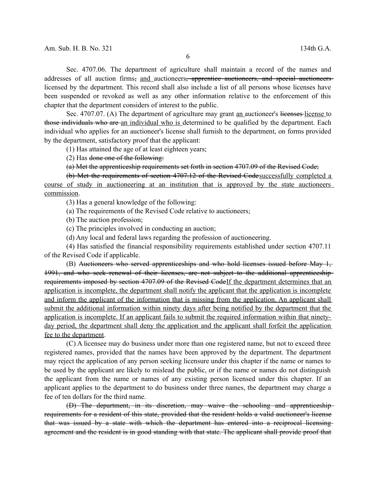Sec. 4707.06. The department of agriculture shall maintain a record of the names and addresses of all auction firms, and auctioneers, apprentice auctioneers, and special auctioneerslicensed by the department. This record shall also include a list of all persons whose licenses have been suspended or revoked as well as any other information relative to the enforcement of this chapter that the department considers of interest to the public.

Sec. 4707.07. (A) The department of agriculture may grant <u>an</u> auctioneer's licenses-license to those individuals who are an individual who is determined to be qualified by the department. Each individual who applies for an auctioneer's license shall furnish to the department, on forms provided by the department, satisfactory proof that the applicant:

(1) Has attained the age of at least eighteen years;

(2) Has done one of the following:

(a) Met the apprenticeship requirements set forth in section 4707.09 of the Revised Code;

(b) Met the requirements of section 4707.12 of the Revised Codesuccessfully completed a course of study in auctioneering at an institution that is approved by the state auctioneers commission.

(3) Has a general knowledge of the following:

(a) The requirements of the Revised Code relative to auctioneers;

(b) The auction profession;

(c) The principles involved in conducting an auction;

(d) Any local and federal laws regarding the profession of auctioneering.

(4) Has satisfied the financial responsibility requirements established under section 4707.11 of the Revised Code if applicable.

(B) Auctioneers who served apprenticeships and who hold licenses issued before May 1, 1991, and who seek renewal of their licenses, are not subject to the additional apprenticeship requirements imposed by section 4707.09 of the Revised CodeIf the department determines that an application is incomplete, the department shall notify the applicant that the application is incomplete and inform the applicant of the information that is missing from the application. An applicant shall submit the additional information within ninety days after being notified by the department that the application is incomplete. If an applicant fails to submit the required information within that ninetyday period, the department shall deny the application and the applicant shall forfeit the application fee to the department.

(C) A licensee may do business under more than one registered name, but not to exceed three registered names, provided that the names have been approved by the department. The department may reject the application of any person seeking licensure under this chapter if the name or names to be used by the applicant are likely to mislead the public, or if the name or names do not distinguish the applicant from the name or names of any existing person licensed under this chapter. If an applicant applies to the department to do business under three names, the department may charge a fee of ten dollars for the third name.

(D) The department, in its discretion, may waive the schooling and apprenticeship requirements for a resident of this state, provided that the resident holds a valid auctioneer's license that was issued by a state with which the department has entered into a reciprocal licensing agreement and the resident is in good standing with that state. The applicant shall provide proof that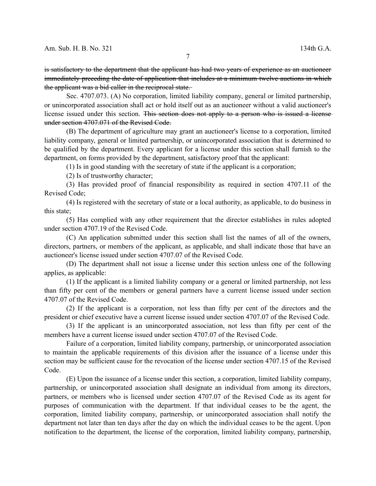is satisfactory to the department that the applicant has had two years of experience as an auctioneer immediately preceding the date of application that includes at a minimum twelve auctions in which the applicant was a bid caller in the reciprocal state.

Sec. 4707.073. (A) No corporation, limited liability company, general or limited partnership, or unincorporated association shall act or hold itself out as an auctioneer without a valid auctioneer's license issued under this section. This section does not apply to a person who is issued a license under section 4707.071 of the Revised Code.

(B) The department of agriculture may grant an auctioneer's license to a corporation, limited liability company, general or limited partnership, or unincorporated association that is determined to be qualified by the department. Every applicant for a license under this section shall furnish to the department, on forms provided by the department, satisfactory proof that the applicant:

(1) Is in good standing with the secretary of state if the applicant is a corporation;

(2) Is of trustworthy character;

(3) Has provided proof of financial responsibility as required in section 4707.11 of the Revised Code;

(4) Is registered with the secretary of state or a local authority, as applicable, to do business in this state;

(5) Has complied with any other requirement that the director establishes in rules adopted under section 4707.19 of the Revised Code.

(C) An application submitted under this section shall list the names of all of the owners, directors, partners, or members of the applicant, as applicable, and shall indicate those that have an auctioneer's license issued under section 4707.07 of the Revised Code.

(D) The department shall not issue a license under this section unless one of the following applies, as applicable:

(1) If the applicant is a limited liability company or a general or limited partnership, not less than fifty per cent of the members or general partners have a current license issued under section 4707.07 of the Revised Code.

(2) If the applicant is a corporation, not less than fifty per cent of the directors and the president or chief executive have a current license issued under section 4707.07 of the Revised Code.

(3) If the applicant is an unincorporated association, not less than fifty per cent of the members have a current license issued under section 4707.07 of the Revised Code.

Failure of a corporation, limited liability company, partnership, or unincorporated association to maintain the applicable requirements of this division after the issuance of a license under this section may be sufficient cause for the revocation of the license under section 4707.15 of the Revised Code.

(E) Upon the issuance of a license under this section, a corporation, limited liability company, partnership, or unincorporated association shall designate an individual from among its directors, partners, or members who is licensed under section 4707.07 of the Revised Code as its agent for purposes of communication with the department. If that individual ceases to be the agent, the corporation, limited liability company, partnership, or unincorporated association shall notify the department not later than ten days after the day on which the individual ceases to be the agent. Upon notification to the department, the license of the corporation, limited liability company, partnership,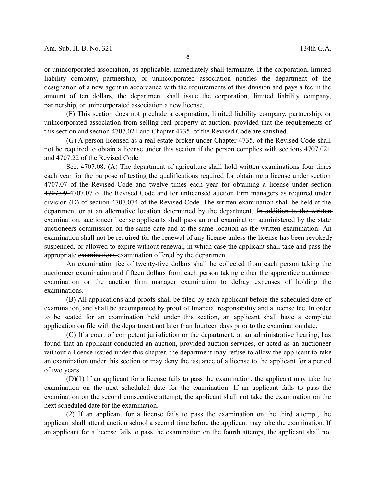or unincorporated association, as applicable, immediately shall terminate. If the corporation, limited liability company, partnership, or unincorporated association notifies the department of the designation of a new agent in accordance with the requirements of this division and pays a fee in the amount of ten dollars, the department shall issue the corporation, limited liability company, partnership, or unincorporated association a new license.

(F) This section does not preclude a corporation, limited liability company, partnership, or unincorporated association from selling real property at auction, provided that the requirements of this section and section 4707.021 and Chapter 4735. of the Revised Code are satisfied.

(G) A person licensed as a real estate broker under Chapter 4735. of the Revised Code shall not be required to obtain a license under this section if the person complies with sections 4707.021 and 4707.22 of the Revised Code.

Sec. 4707.08. (A) The department of agriculture shall hold written examinations four times each year for the purpose of testing the qualifications required for obtaining a license under section 4707.07 of the Revised Code and twelve times each year for obtaining a license under section 4707.09 4707.07 of the Revised Code and for unlicensed auction firm managers as required under division (D) of section 4707.074 of the Revised Code. The written examination shall be held at the department or at an alternative location determined by the department. In addition to the written examination, auctioneer license applicants shall pass an oral examination administered by the state auctioneers commission on the same date and at the same location as the written examination. An examination shall not be required for the renewal of any license unless the license has been revoked. suspended, or allowed to expire without renewal, in which case the applicant shall take and pass the appropriate examinations examination offered by the department.

An examination fee of twenty-five dollars shall be collected from each person taking the auctioneer examination and fifteen dollars from each person taking either the apprentice auctioneer examination or the auction firm manager examination to defray expenses of holding the examinations.

(B) All applications and proofs shall be filed by each applicant before the scheduled date of examination, and shall be accompanied by proof of financial responsibility and a license fee. In order to be seated for an examination held under this section, an applicant shall have a complete application on file with the department not later than fourteen days prior to the examination date.

(C) If a court of competent jurisdiction or the department, at an administrative hearing, has found that an applicant conducted an auction, provided auction services, or acted as an auctioneer without a license issued under this chapter, the department may refuse to allow the applicant to take an examination under this section or may deny the issuance of a license to the applicant for a period of two years.

(D)(1) If an applicant for a license fails to pass the examination, the applicant may take the examination on the next scheduled date for the examination. If an applicant fails to pass the examination on the second consecutive attempt, the applicant shall not take the examination on the next scheduled date for the examination.

(2) If an applicant for a license fails to pass the examination on the third attempt, the applicant shall attend auction school a second time before the applicant may take the examination. If an applicant for a license fails to pass the examination on the fourth attempt, the applicant shall not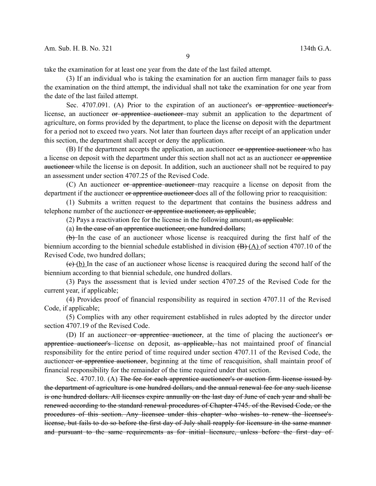take the examination for at least one year from the date of the last failed attempt.

(3) If an individual who is taking the examination for an auction firm manager fails to pass the examination on the third attempt, the individual shall not take the examination for one year from the date of the last failed attempt.

Sec. 4707.091. (A) Prior to the expiration of an auctioneer's or apprentice auctioneer's license, an auctioneer or apprentice auctioneer may submit an application to the department of agriculture, on forms provided by the department, to place the license on deposit with the department for a period not to exceed two years. Not later than fourteen days after receipt of an application under this section, the department shall accept or deny the application.

(B) If the department accepts the application, an auctioneer or apprentice auctioneer who has a license on deposit with the department under this section shall not act as an auctioneer or apprentice auctioneer while the license is on deposit. In addition, such an auctioneer shall not be required to pay an assessment under section 4707.25 of the Revised Code.

(C) An auctioneer or apprentice auctioneer may reacquire a license on deposit from the department if the auctioneer or apprentice auctioneer does all of the following prior to reacquisition:

(1) Submits a written request to the department that contains the business address and telephone number of the auctioneer or apprentice auctioneer, as applicable;

(2) Pays a reactivation fee for the license in the following amount, as applicable:

(a) In the case of an apprentice auctioneer, one hundred dollars;

(b) In the case of an auctioneer whose license is reacquired during the first half of the biennium according to the biennial schedule established in division  $(B)$   $(A)$  of section 4707.10 of the Revised Code, two hundred dollars;

 $(e)$  (b) In the case of an auctioneer whose license is reacquired during the second half of the biennium according to that biennial schedule, one hundred dollars.

(3) Pays the assessment that is levied under section 4707.25 of the Revised Code for the current year, if applicable;

(4) Provides proof of financial responsibility as required in section 4707.11 of the Revised Code, if applicable;

(5) Complies with any other requirement established in rules adopted by the director under section 4707.19 of the Revised Code.

(D) If an auctioneer or apprentice auctioneer, at the time of placing the auctioneer's or apprentice auctioneer's license on deposit, as applicable, has not maintained proof of financial responsibility for the entire period of time required under section 4707.11 of the Revised Code, the auctioneer or apprentice auctioneer, beginning at the time of reacquisition, shall maintain proof of financial responsibility for the remainder of the time required under that section.

Sec. 4707.10. (A) The fee for each apprentice auctioneer's or auction firm license issued by the department of agriculture is one hundred dollars, and the annual renewal fee for any such license is one hundred dollars. All licenses expire annually on the last day of June of each year and shall be renewed according to the standard renewal procedures of Chapter 4745. of the Revised Code, or the procedures of this section. Any licensee under this chapter who wishes to renew the licensee's license, but fails to do so before the first day of July shall reapply for licensure in the same manner and pursuant to the same requirements as for initial licensure, unless before the first day of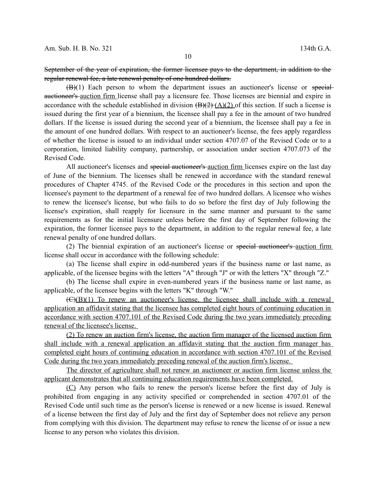$(B)(1)$  Each person to whom the department issues an auctioneer's license or specialauctioneer's auction firm license shall pay a licensure fee. Those licenses are biennial and expire in accordance with the schedule established in division  $(\overline{B})(2)$  (A)(2) of this section. If such a license is issued during the first year of a biennium, the licensee shall pay a fee in the amount of two hundred dollars. If the license is issued during the second year of a biennium, the licensee shall pay a fee in the amount of one hundred dollars. With respect to an auctioneer's license, the fees apply regardless of whether the license is issued to an individual under section 4707.07 of the Revised Code or to a corporation, limited liability company, partnership, or association under section 4707.073 of the Revised Code.

All auctioneer's licenses and special auctioneer's auction firm licenses expire on the last day of June of the biennium. The licenses shall be renewed in accordance with the standard renewal procedures of Chapter 4745. of the Revised Code or the procedures in this section and upon the licensee's payment to the department of a renewal fee of two hundred dollars. A licensee who wishes to renew the licensee's license, but who fails to do so before the first day of July following the license's expiration, shall reapply for licensure in the same manner and pursuant to the same requirements as for the initial licensure unless before the first day of September following the expiration, the former licensee pays to the department, in addition to the regular renewal fee, a late renewal penalty of one hundred dollars.

(2) The biennial expiration of an auctioneer's license or special auctioneer's auction firm license shall occur in accordance with the following schedule:

(a) The license shall expire in odd-numbered years if the business name or last name, as applicable, of the licensee begins with the letters "A" through "J" or with the letters "X" through "Z."

(b) The license shall expire in even-numbered years if the business name or last name, as applicable, of the licensee begins with the letters "K" through "W."

 $(\overline{C})(B)(1)$  To renew an auctioneer's license, the licensee shall include with a renewal application an affidavit stating that the licensee has completed eight hours of continuing education in accordance with section 4707.101 of the Revised Code during the two years immediately preceding renewal of the licensee's license.

(2) To renew an auction firm's license, the auction firm manager of the licensed auction firm shall include with a renewal application an affidavit stating that the auction firm manager has completed eight hours of continuing education in accordance with section 4707.101 of the Revised Code during the two years immediately preceding renewal of the auction firm's license.

The director of agriculture shall not renew an auctioneer or auction firm license unless the applicant demonstrates that all continuing education requirements have been completed.

(C) Any person who fails to renew the person's license before the first day of July is prohibited from engaging in any activity specified or comprehended in section 4707.01 of the Revised Code until such time as the person's license is renewed or a new license is issued. Renewal of a license between the first day of July and the first day of September does not relieve any person from complying with this division. The department may refuse to renew the license of or issue a new license to any person who violates this division.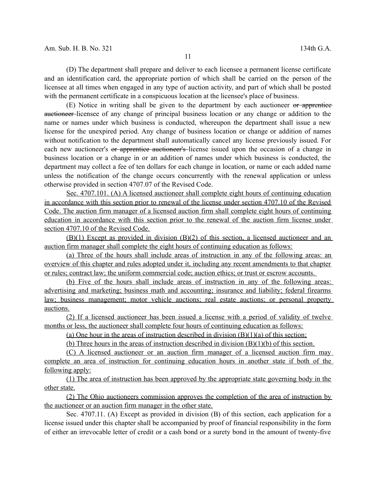(D) The department shall prepare and deliver to each licensee a permanent license certificate and an identification card, the appropriate portion of which shall be carried on the person of the licensee at all times when engaged in any type of auction activity, and part of which shall be posted with the permanent certificate in a conspicuous location at the licensee's place of business.

(E) Notice in writing shall be given to the department by each auctioneer or apprentice auctioneer licensee of any change of principal business location or any change or addition to the name or names under which business is conducted, whereupon the department shall issue a new license for the unexpired period. Any change of business location or change or addition of names without notification to the department shall automatically cancel any license previously issued. For each new auctioneer's or apprentice auctioneer's license issued upon the occasion of a change in business location or a change in or an addition of names under which business is conducted, the department may collect a fee of ten dollars for each change in location, or name or each added name unless the notification of the change occurs concurrently with the renewal application or unless otherwise provided in section 4707.07 of the Revised Code.

 Sec. 4707.101. (A) A licensed auctioneer shall complete eight hours of continuing education in accordance with this section prior to renewal of the license under section 4707.10 of the Revised Code. The auction firm manager of a licensed auction firm shall complete eight hours of continuing education in accordance with this section prior to the renewal of the auction firm license under section 4707.10 of the Revised Code.

(B)(1) Except as provided in division (B)(2) of this section, a licensed auctioneer and an auction firm manager shall complete the eight hours of continuing education as follows:

 (a) Three of the hours shall include areas of instruction in any of the following areas: an overview of this chapter and rules adopted under it, including any recent amendments to that chapter or rules; contract law; the uniform commercial code; auction ethics; or trust or escrow accounts.

(b) Five of the hours shall include areas of instruction in any of the following areas: advertising and marketing; business math and accounting; insurance and liability; federal firearms law; business management; motor vehicle auctions; real estate auctions; or personal property auctions.

(2) If a licensed auctioneer has been issued a license with a period of validity of twelve months or less, the auctioneer shall complete four hours of continuing education as follows:

(a) One hour in the areas of instruction described in division  $(B)(1)(a)$  of this section;

(b) Three hours in the areas of instruction described in division (B)(1)(b) of this section.

(C) A licensed auctioneer or an auction firm manager of a licensed auction firm may complete an area of instruction for continuing education hours in another state if both of the following apply:

(1) The area of instruction has been approved by the appropriate state governing body in the other state.

(2) The Ohio auctioneers commission approves the completion of the area of instruction by the auctioneer or an auction firm manager in the other state.

Sec. 4707.11. (A) Except as provided in division (B) of this section, each application for a license issued under this chapter shall be accompanied by proof of financial responsibility in the form of either an irrevocable letter of credit or a cash bond or a surety bond in the amount of twenty-five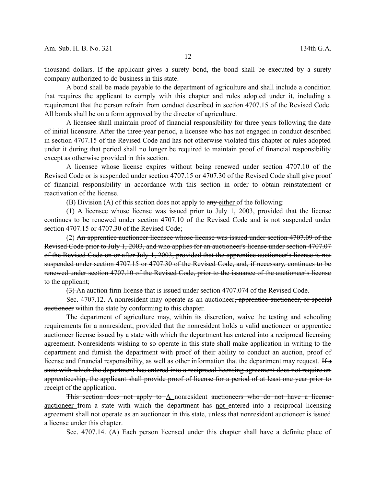thousand dollars. If the applicant gives a surety bond, the bond shall be executed by a surety company authorized to do business in this state.

A bond shall be made payable to the department of agriculture and shall include a condition that requires the applicant to comply with this chapter and rules adopted under it, including a requirement that the person refrain from conduct described in section 4707.15 of the Revised Code. All bonds shall be on a form approved by the director of agriculture.

A licensee shall maintain proof of financial responsibility for three years following the date of initial licensure. After the three-year period, a licensee who has not engaged in conduct described in section 4707.15 of the Revised Code and has not otherwise violated this chapter or rules adopted under it during that period shall no longer be required to maintain proof of financial responsibility except as otherwise provided in this section.

A licensee whose license expires without being renewed under section 4707.10 of the Revised Code or is suspended under section 4707.15 or 4707.30 of the Revised Code shall give proof of financial responsibility in accordance with this section in order to obtain reinstatement or reactivation of the license.

(B) Division (A) of this section does not apply to  $\frac{any\text{-either}}{any\text{-either}}$  of the following:

(1) A licensee whose license was issued prior to July 1, 2003, provided that the license continues to be renewed under section 4707.10 of the Revised Code and is not suspended under section 4707.15 or 4707.30 of the Revised Code;

(2) An apprentice auctioneer licensee whose license was issued under section 4707.09 of the Revised Code prior to July 1, 2003, and who applies for an auctioneer's license under section 4707.07 of the Revised Code on or after July 1, 2003, provided that the apprentice auctioneer's license is not suspended under section 4707.15 or 4707.30 of the Revised Code, and, if necessary, continues to be renewed under section 4707.10 of the Revised Code, prior to the issuance of the auctioneer's license to the applicant;

(3) An auction firm license that is issued under section 4707.074 of the Revised Code.

Sec. 4707.12. A nonresident may operate as an auctioneer<del>, apprentice auctioneer, or special</del> auctioneer within the state by conforming to this chapter.

The department of agriculture may, within its discretion, waive the testing and schooling requirements for a nonresident, provided that the nonresident holds a valid auctioneer or apprentice auctioneer license issued by a state with which the department has entered into a reciprocal licensing agreement. Nonresidents wishing to so operate in this state shall make application in writing to the department and furnish the department with proof of their ability to conduct an auction, proof of license and financial responsibility, as well as other information that the department may request. If a state with which the department has entered into a reciprocal licensing agreement does not require an apprenticeship, the applicant shall provide proof of license for a period of at least one year prior to receipt of the application.

This section does not apply to  $\Delta$  nonresident auctioneers who do not have a licenseauctioneer from a state with which the department has not entered into a reciprocal licensing agreement shall not operate as an auctioneer in this state, unless that nonresident auctioneer is issued a license under this chapter.

Sec. 4707.14. (A) Each person licensed under this chapter shall have a definite place of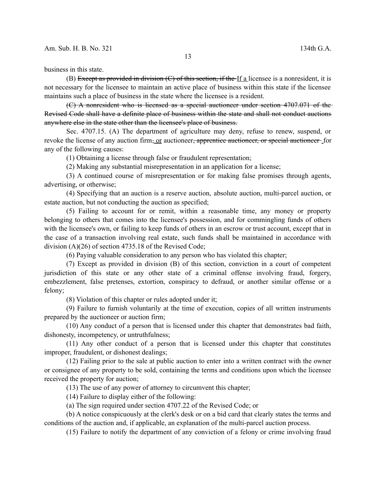business in this state.

(B) Except as provided in division  $(C)$  of this section, if the If a licensee is a nonresident, it is not necessary for the licensee to maintain an active place of business within this state if the licensee maintains such a place of business in the state where the licensee is a resident.

(C) A nonresident who is licensed as a special auctioneer under section 4707.071 of the Revised Code shall have a definite place of business within the state and shall not conduct auctions anywhere else in the state other than the licensee's place of business.

Sec. 4707.15. (A) The department of agriculture may deny, refuse to renew, suspend, or revoke the license of any auction firm, or auctioneer, apprentice auctioneer, or special auctioneer for any of the following causes:

(1) Obtaining a license through false or fraudulent representation;

(2) Making any substantial misrepresentation in an application for a license;

(3) A continued course of misrepresentation or for making false promises through agents, advertising, or otherwise;

(4) Specifying that an auction is a reserve auction, absolute auction, multi-parcel auction, or estate auction, but not conducting the auction as specified;

(5) Failing to account for or remit, within a reasonable time, any money or property belonging to others that comes into the licensee's possession, and for commingling funds of others with the licensee's own, or failing to keep funds of others in an escrow or trust account, except that in the case of a transaction involving real estate, such funds shall be maintained in accordance with division (A)(26) of section 4735.18 of the Revised Code;

(6) Paying valuable consideration to any person who has violated this chapter;

(7) Except as provided in division (B) of this section, conviction in a court of competent jurisdiction of this state or any other state of a criminal offense involving fraud, forgery, embezzlement, false pretenses, extortion, conspiracy to defraud, or another similar offense or a felony;

(8) Violation of this chapter or rules adopted under it;

(9) Failure to furnish voluntarily at the time of execution, copies of all written instruments prepared by the auctioneer or auction firm;

(10) Any conduct of a person that is licensed under this chapter that demonstrates bad faith, dishonesty, incompetency, or untruthfulness;

(11) Any other conduct of a person that is licensed under this chapter that constitutes improper, fraudulent, or dishonest dealings;

(12) Failing prior to the sale at public auction to enter into a written contract with the owner or consignee of any property to be sold, containing the terms and conditions upon which the licensee received the property for auction;

(13) The use of any power of attorney to circumvent this chapter;

(14) Failure to display either of the following:

(a) The sign required under section 4707.22 of the Revised Code; or

(b) A notice conspicuously at the clerk's desk or on a bid card that clearly states the terms and conditions of the auction and, if applicable, an explanation of the multi-parcel auction process.

(15) Failure to notify the department of any conviction of a felony or crime involving fraud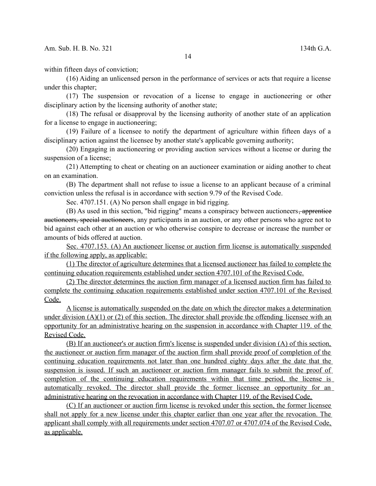within fifteen days of conviction;

(16) Aiding an unlicensed person in the performance of services or acts that require a license under this chapter;

(17) The suspension or revocation of a license to engage in auctioneering or other disciplinary action by the licensing authority of another state;

(18) The refusal or disapproval by the licensing authority of another state of an application for a license to engage in auctioneering;

(19) Failure of a licensee to notify the department of agriculture within fifteen days of a disciplinary action against the licensee by another state's applicable governing authority;

(20) Engaging in auctioneering or providing auction services without a license or during the suspension of a license;

(21) Attempting to cheat or cheating on an auctioneer examination or aiding another to cheat on an examination.

(B) The department shall not refuse to issue a license to an applicant because of a criminal conviction unless the refusal is in accordance with section 9.79 of the Revised Code.

Sec. 4707.151. (A) No person shall engage in bid rigging.

(B) As used in this section, "bid rigging" means a conspiracy between auctioneers, apprentice auctioneers, special auctioneers, any participants in an auction, or any other persons who agree not to bid against each other at an auction or who otherwise conspire to decrease or increase the number or amounts of bids offered at auction.

 Sec. 4707.153. (A) An auctioneer license or auction firm license is automatically suspended if the following apply, as applicable:

(1) The director of agriculture determines that a licensed auctioneer has failed to complete the continuing education requirements established under section 4707.101 of the Revised Code.

(2) The director determines the auction firm manager of a licensed auction firm has failed to complete the continuing education requirements established under section 4707.101 of the Revised Code.

A license is automatically suspended on the date on which the director makes a determination under division  $(A)(1)$  or  $(2)$  of this section. The director shall provide the offending licensee with an opportunity for an administrative hearing on the suspension in accordance with Chapter 119. of the Revised Code.

(B) If an auctioneer's or auction firm's license is suspended under division (A) of this section, the auctioneer or auction firm manager of the auction firm shall provide proof of completion of the continuing education requirements not later than one hundred eighty days after the date that the suspension is issued. If such an auctioneer or auction firm manager fails to submit the proof of completion of the continuing education requirements within that time period, the license is automatically revoked. The director shall provide the former licensee an opportunity for an administrative hearing on the revocation in accordance with Chapter 119. of the Revised Code.

(C) If an auctioneer or auction firm license is revoked under this section, the former licensee shall not apply for a new license under this chapter earlier than one year after the revocation. The applicant shall comply with all requirements under section 4707.07 or 4707.074 of the Revised Code, as applicable.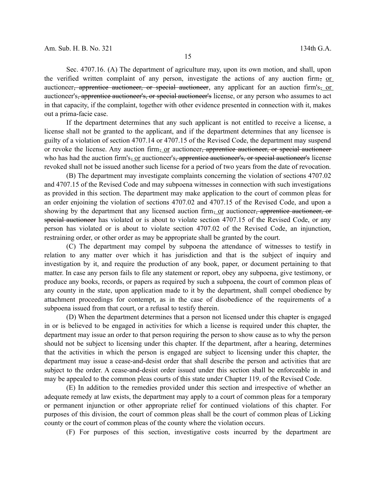Sec. 4707.16. (A) The department of agriculture may, upon its own motion, and shall, upon the verified written complaint of any person, investigate the actions of any auction firm, or auctioneer<del>, apprentice auctioneer, or special auctioneer</del>, any applicant for an auction firm's, or auctioneer's, apprentice auctioneer's, or special auctioneer's license, or any person who assumes to act in that capacity, if the complaint, together with other evidence presented in connection with it, makes out a prima-facie case.

If the department determines that any such applicant is not entitled to receive a license, a license shall not be granted to the applicant, and if the department determines that any licensee is guilty of a violation of section 4707.14 or 4707.15 of the Revised Code, the department may suspend or revoke the license. Any auction firm, or auctioneer, apprentice auctioneer, or special auctioneerwho has had the auction firm's-or auctioneer's, apprentice auctioneer's, or special auctioneer's license revoked shall not be issued another such license for a period of two years from the date of revocation.

(B) The department may investigate complaints concerning the violation of sections 4707.02 and 4707.15 of the Revised Code and may subpoena witnesses in connection with such investigations as provided in this section. The department may make application to the court of common pleas for an order enjoining the violation of sections 4707.02 and 4707.15 of the Revised Code, and upon a showing by the department that any licensed auction firm, or auctioneer, apprentice auctioneer, or special auctioneer has violated or is about to violate section 4707.15 of the Revised Code, or any person has violated or is about to violate section 4707.02 of the Revised Code, an injunction, restraining order, or other order as may be appropriate shall be granted by the court.

(C) The department may compel by subpoena the attendance of witnesses to testify in relation to any matter over which it has jurisdiction and that is the subject of inquiry and investigation by it, and require the production of any book, paper, or document pertaining to that matter. In case any person fails to file any statement or report, obey any subpoena, give testimony, or produce any books, records, or papers as required by such a subpoena, the court of common pleas of any county in the state, upon application made to it by the department, shall compel obedience by attachment proceedings for contempt, as in the case of disobedience of the requirements of a subpoena issued from that court, or a refusal to testify therein.

(D) When the department determines that a person not licensed under this chapter is engaged in or is believed to be engaged in activities for which a license is required under this chapter, the department may issue an order to that person requiring the person to show cause as to why the person should not be subject to licensing under this chapter. If the department, after a hearing, determines that the activities in which the person is engaged are subject to licensing under this chapter, the department may issue a cease-and-desist order that shall describe the person and activities that are subject to the order. A cease-and-desist order issued under this section shall be enforceable in and may be appealed to the common pleas courts of this state under Chapter 119. of the Revised Code.

(E) In addition to the remedies provided under this section and irrespective of whether an adequate remedy at law exists, the department may apply to a court of common pleas for a temporary or permanent injunction or other appropriate relief for continued violations of this chapter. For purposes of this division, the court of common pleas shall be the court of common pleas of Licking county or the court of common pleas of the county where the violation occurs.

(F) For purposes of this section, investigative costs incurred by the department are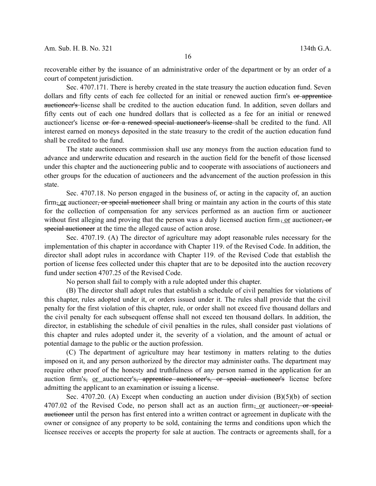recoverable either by the issuance of an administrative order of the department or by an order of a court of competent jurisdiction.

Sec. 4707.171. There is hereby created in the state treasury the auction education fund. Seven dollars and fifty cents of each fee collected for an initial or renewed auction firm's or apprentice auctioneer's license shall be credited to the auction education fund. In addition, seven dollars and fifty cents out of each one hundred dollars that is collected as a fee for an initial or renewed auctioneer's license or for a renewed special auctioneer's license shall be credited to the fund. All interest earned on moneys deposited in the state treasury to the credit of the auction education fund shall be credited to the fund.

The state auctioneers commission shall use any moneys from the auction education fund to advance and underwrite education and research in the auction field for the benefit of those licensed under this chapter and the auctioneering public and to cooperate with associations of auctioneers and other groups for the education of auctioneers and the advancement of the auction profession in this state.

Sec. 4707.18. No person engaged in the business of, or acting in the capacity of, an auction firm, or auctioneer, or special auctioneer shall bring or maintain any action in the courts of this state for the collection of compensation for any services performed as an auction firm or auctioneer without first alleging and proving that the person was a duly licensed auction firm, or auctioneer, or special auctioneer at the time the alleged cause of action arose.

Sec. 4707.19. (A) The director of agriculture may adopt reasonable rules necessary for the implementation of this chapter in accordance with Chapter 119. of the Revised Code. In addition, the director shall adopt rules in accordance with Chapter 119. of the Revised Code that establish the portion of license fees collected under this chapter that are to be deposited into the auction recovery fund under section 4707.25 of the Revised Code.

No person shall fail to comply with a rule adopted under this chapter.

(B) The director shall adopt rules that establish a schedule of civil penalties for violations of this chapter, rules adopted under it, or orders issued under it. The rules shall provide that the civil penalty for the first violation of this chapter, rule, or order shall not exceed five thousand dollars and the civil penalty for each subsequent offense shall not exceed ten thousand dollars. In addition, the director, in establishing the schedule of civil penalties in the rules, shall consider past violations of this chapter and rules adopted under it, the severity of a violation, and the amount of actual or potential damage to the public or the auction profession.

(C) The department of agriculture may hear testimony in matters relating to the duties imposed on it, and any person authorized by the director may administer oaths. The department may require other proof of the honesty and truthfulness of any person named in the application for an auction firm's, or auctioneer's, apprentice auctioneer's, or special auctioneer's license before admitting the applicant to an examination or issuing a license.

Sec. 4707.20. (A) Except when conducting an auction under division (B)(5)(b) of section 4707.02 of the Revised Code, no person shall act as an auction firm, or auctioneer, or specialauctioneer until the person has first entered into a written contract or agreement in duplicate with the owner or consignee of any property to be sold, containing the terms and conditions upon which the licensee receives or accepts the property for sale at auction. The contracts or agreements shall, for a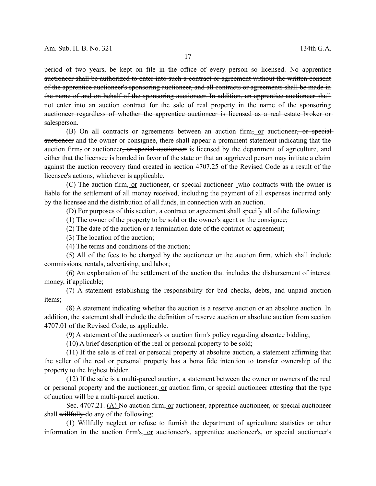period of two years, be kept on file in the office of every person so licensed. No apprentice auctioneer shall be authorized to enter into such a contract or agreement without the written consent of the apprentice auctioneer's sponsoring auctioneer, and all contracts or agreements shall be made in the name of and on behalf of the sponsoring auctioneer. In addition, an apprentice auctioneer shall not enter into an auction contract for the sale of real property in the name of the sponsoring auctioneer regardless of whether the apprentice auctioneer is licensed as a real estate broker or salesperson.

(B) On all contracts or agreements between an auction firm, or auctioneer, or specialauctioneer and the owner or consignee, there shall appear a prominent statement indicating that the auction firm, or auctioneer, or special auctioneer is licensed by the department of agriculture, and either that the licensee is bonded in favor of the state or that an aggrieved person may initiate a claim against the auction recovery fund created in section 4707.25 of the Revised Code as a result of the licensee's actions, whichever is applicable.

(C) The auction firm, or auctioneer, or special auctioneer, who contracts with the owner is liable for the settlement of all money received, including the payment of all expenses incurred only by the licensee and the distribution of all funds, in connection with an auction.

(D) For purposes of this section, a contract or agreement shall specify all of the following:

(1) The owner of the property to be sold or the owner's agent or the consignee;

(2) The date of the auction or a termination date of the contract or agreement;

(3) The location of the auction;

(4) The terms and conditions of the auction;

(5) All of the fees to be charged by the auctioneer or the auction firm, which shall include commissions, rentals, advertising, and labor;

(6) An explanation of the settlement of the auction that includes the disbursement of interest money, if applicable;

(7) A statement establishing the responsibility for bad checks, debts, and unpaid auction items;

(8) A statement indicating whether the auction is a reserve auction or an absolute auction. In addition, the statement shall include the definition of reserve auction or absolute auction from section 4707.01 of the Revised Code, as applicable.

(9) A statement of the auctioneer's or auction firm's policy regarding absentee bidding;

(10) A brief description of the real or personal property to be sold;

(11) If the sale is of real or personal property at absolute auction, a statement affirming that the seller of the real or personal property has a bona fide intention to transfer ownership of the property to the highest bidder.

(12) If the sale is a multi-parcel auction, a statement between the owner or owners of the real or personal property and the auctioneer, or auction firm, or special auctioneer attesting that the type of auction will be a multi-parcel auction.

Sec. 4707.21. (A) No auction firm, or auctioneer, apprentice auctioneer, or special auctioneer shall willfully do any of the following:

(1) Willfully neglect or refuse to furnish the department of agriculture statistics or other information in the auction firm's, or auctioneer's, apprentice auctioneer's, or special auctioneer's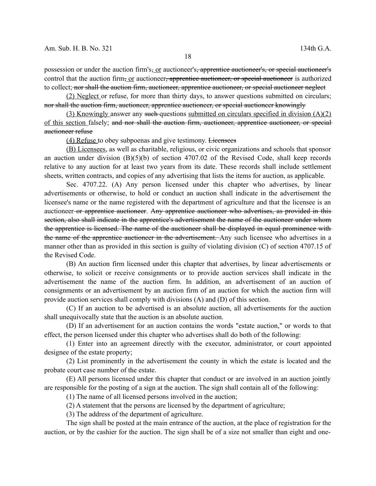possession or under the auction firm's, or auctioneer's, apprentice auctioneer's, or special auctioneer's control that the auction firm, or auctioneer, apprentice auctioneer, or special auctioneer is authorized to collect; nor shall the auction firm, auctioneer, apprentice auctioneer, or special auctioneer neglect

(2) Neglect or refuse, for more than thirty days, to answer questions submitted on circulars; nor shall the auction firm, auctioneer, apprentice auctioneer, or special auctioneer knowingly

(3) Knowingly answer any such questions submitted on circulars specified in division (A)(2) of this section falsely; and nor shall the auction firm, auctioneer, apprentice auctioneer, or special auctioneer refuse

(4) Refuse to obey subpoenas and give testimony. Licensees

(B) Licensees, as well as charitable, religious, or civic organizations and schools that sponsor an auction under division  $(B)(5)(b)$  of section 4707.02 of the Revised Code, shall keep records relative to any auction for at least two years from its date. These records shall include settlement sheets, written contracts, and copies of any advertising that lists the items for auction, as applicable.

Sec. 4707.22. (A) Any person licensed under this chapter who advertises, by linear advertisements or otherwise, to hold or conduct an auction shall indicate in the advertisement the licensee's name or the name registered with the department of agriculture and that the licensee is an auctioneer or apprentice auctioneer. Any apprentice auctioneer who advertises, as provided in this section, also shall indicate in the apprentice's advertisement the name of the auctioneer under whom the apprentice is licensed. The name of the auctioneer shall be displayed in equal prominence with the name of the apprentice auctioneer in the advertisement. Any such licensee who advertises in a manner other than as provided in this section is guilty of violating division (C) of section 4707.15 of the Revised Code.

(B) An auction firm licensed under this chapter that advertises, by linear advertisements or otherwise, to solicit or receive consignments or to provide auction services shall indicate in the advertisement the name of the auction firm. In addition, an advertisement of an auction of consignments or an advertisement by an auction firm of an auction for which the auction firm will provide auction services shall comply with divisions (A) and (D) of this section.

(C) If an auction to be advertised is an absolute auction, all advertisements for the auction shall unequivocally state that the auction is an absolute auction.

(D) If an advertisement for an auction contains the words "estate auction," or words to that effect, the person licensed under this chapter who advertises shall do both of the following:

(1) Enter into an agreement directly with the executor, administrator, or court appointed designee of the estate property;

(2) List prominently in the advertisement the county in which the estate is located and the probate court case number of the estate.

(E) All persons licensed under this chapter that conduct or are involved in an auction jointly are responsible for the posting of a sign at the auction. The sign shall contain all of the following:

(1) The name of all licensed persons involved in the auction;

(2) A statement that the persons are licensed by the department of agriculture;

(3) The address of the department of agriculture.

The sign shall be posted at the main entrance of the auction, at the place of registration for the auction, or by the cashier for the auction. The sign shall be of a size not smaller than eight and one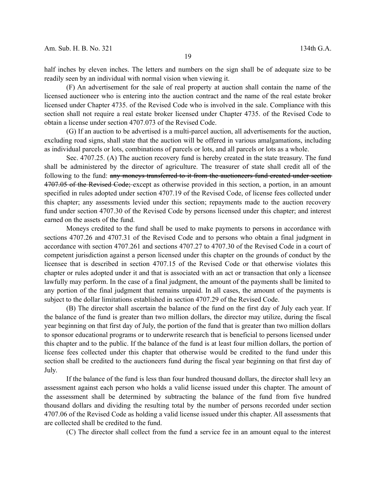half inches by eleven inches. The letters and numbers on the sign shall be of adequate size to be readily seen by an individual with normal vision when viewing it.

(F) An advertisement for the sale of real property at auction shall contain the name of the licensed auctioneer who is entering into the auction contract and the name of the real estate broker licensed under Chapter 4735. of the Revised Code who is involved in the sale. Compliance with this section shall not require a real estate broker licensed under Chapter 4735. of the Revised Code to obtain a license under section 4707.073 of the Revised Code.

(G) If an auction to be advertised is a multi-parcel auction, all advertisements for the auction, excluding road signs, shall state that the auction will be offered in various amalgamations, including as individual parcels or lots, combinations of parcels or lots, and all parcels or lots as a whole.

Sec. 4707.25. (A) The auction recovery fund is hereby created in the state treasury. The fund shall be administered by the director of agriculture. The treasurer of state shall credit all of the following to the fund: any moneys transferred to it from the auctioneers fund created under section 4707.05 of the Revised Code; except as otherwise provided in this section, a portion, in an amount specified in rules adopted under section 4707.19 of the Revised Code, of license fees collected under this chapter; any assessments levied under this section; repayments made to the auction recovery fund under section 4707.30 of the Revised Code by persons licensed under this chapter; and interest earned on the assets of the fund.

Moneys credited to the fund shall be used to make payments to persons in accordance with sections 4707.26 and 4707.31 of the Revised Code and to persons who obtain a final judgment in accordance with section 4707.261 and sections 4707.27 to 4707.30 of the Revised Code in a court of competent jurisdiction against a person licensed under this chapter on the grounds of conduct by the licensee that is described in section 4707.15 of the Revised Code or that otherwise violates this chapter or rules adopted under it and that is associated with an act or transaction that only a licensee lawfully may perform. In the case of a final judgment, the amount of the payments shall be limited to any portion of the final judgment that remains unpaid. In all cases, the amount of the payments is subject to the dollar limitations established in section 4707.29 of the Revised Code.

(B) The director shall ascertain the balance of the fund on the first day of July each year. If the balance of the fund is greater than two million dollars, the director may utilize, during the fiscal year beginning on that first day of July, the portion of the fund that is greater than two million dollars to sponsor educational programs or to underwrite research that is beneficial to persons licensed under this chapter and to the public. If the balance of the fund is at least four million dollars, the portion of license fees collected under this chapter that otherwise would be credited to the fund under this section shall be credited to the auctioneers fund during the fiscal year beginning on that first day of July.

If the balance of the fund is less than four hundred thousand dollars, the director shall levy an assessment against each person who holds a valid license issued under this chapter. The amount of the assessment shall be determined by subtracting the balance of the fund from five hundred thousand dollars and dividing the resulting total by the number of persons recorded under section 4707.06 of the Revised Code as holding a valid license issued under this chapter. All assessments that are collected shall be credited to the fund.

(C) The director shall collect from the fund a service fee in an amount equal to the interest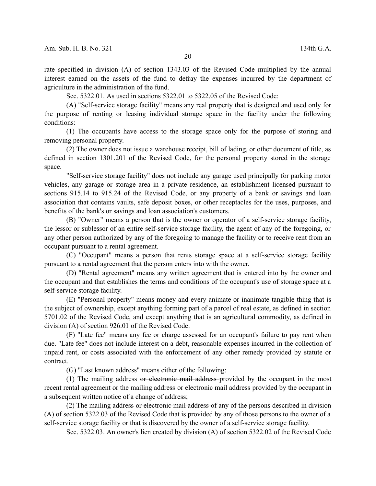rate specified in division (A) of section 1343.03 of the Revised Code multiplied by the annual interest earned on the assets of the fund to defray the expenses incurred by the department of agriculture in the administration of the fund.

Sec. 5322.01. As used in sections 5322.01 to 5322.05 of the Revised Code:

(A) "Self-service storage facility" means any real property that is designed and used only for the purpose of renting or leasing individual storage space in the facility under the following conditions:

(1) The occupants have access to the storage space only for the purpose of storing and removing personal property.

(2) The owner does not issue a warehouse receipt, bill of lading, or other document of title, as defined in section 1301.201 of the Revised Code, for the personal property stored in the storage space.

"Self-service storage facility" does not include any garage used principally for parking motor vehicles, any garage or storage area in a private residence, an establishment licensed pursuant to sections 915.14 to 915.24 of the Revised Code, or any property of a bank or savings and loan association that contains vaults, safe deposit boxes, or other receptacles for the uses, purposes, and benefits of the bank's or savings and loan association's customers.

(B) "Owner" means a person that is the owner or operator of a self-service storage facility, the lessor or sublessor of an entire self-service storage facility, the agent of any of the foregoing, or any other person authorized by any of the foregoing to manage the facility or to receive rent from an occupant pursuant to a rental agreement.

(C) "Occupant" means a person that rents storage space at a self-service storage facility pursuant to a rental agreement that the person enters into with the owner.

(D) "Rental agreement" means any written agreement that is entered into by the owner and the occupant and that establishes the terms and conditions of the occupant's use of storage space at a self-service storage facility.

(E) "Personal property" means money and every animate or inanimate tangible thing that is the subject of ownership, except anything forming part of a parcel of real estate, as defined in section 5701.02 of the Revised Code, and except anything that is an agricultural commodity, as defined in division (A) of section 926.01 of the Revised Code.

(F) "Late fee" means any fee or charge assessed for an occupant's failure to pay rent when due. "Late fee" does not include interest on a debt, reasonable expenses incurred in the collection of unpaid rent, or costs associated with the enforcement of any other remedy provided by statute or contract.

(G) "Last known address" means either of the following:

(1) The mailing address or electronic mail address provided by the occupant in the most recent rental agreement or the mailing address or electronic mail address-provided by the occupant in a subsequent written notice of a change of address;

(2) The mailing address or electronic mail address of any of the persons described in division (A) of section 5322.03 of the Revised Code that is provided by any of those persons to the owner of a self-service storage facility or that is discovered by the owner of a self-service storage facility.

Sec. 5322.03. An owner's lien created by division (A) of section 5322.02 of the Revised Code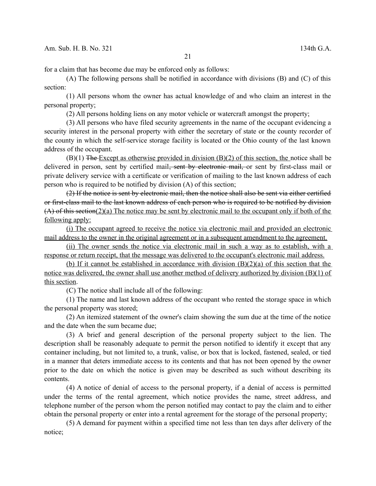for a claim that has become due may be enforced only as follows:

(A) The following persons shall be notified in accordance with divisions (B) and (C) of this section:

(1) All persons whom the owner has actual knowledge of and who claim an interest in the personal property;

(2) All persons holding liens on any motor vehicle or watercraft amongst the property;

(3) All persons who have filed security agreements in the name of the occupant evidencing a security interest in the personal property with either the secretary of state or the county recorder of the county in which the self-service storage facility is located or the Ohio county of the last known address of the occupant.

 $(B)(1)$  The Except as otherwise provided in division  $(B)(2)$  of this section, the notice shall be delivered in person, sent by certified mail<del>, sent by electronic mail,</del> or sent by first-class mail or private delivery service with a certificate or verification of mailing to the last known address of each person who is required to be notified by division (A) of this section;

(2) If the notice is sent by electronic mail, then the notice shall also be sent via either certified or first-class mail to the last known address of each person who is required to be notified by division (A) of this section(2)(a) The notice may be sent by electronic mail to the occupant only if both of the following apply:

(i) The occupant agreed to receive the notice via electronic mail and provided an electronic mail address to the owner in the original agreement or in a subsequent amendment to the agreement.

(ii) The owner sends the notice via electronic mail in such a way as to establish, with a response or return receipt, that the message was delivered to the occupant's electronic mail address.

(b) If it cannot be established in accordance with division (B)(2)(a) of this section that the notice was delivered, the owner shall use another method of delivery authorized by division (B)(1) of this section.

(C) The notice shall include all of the following:

(1) The name and last known address of the occupant who rented the storage space in which the personal property was stored;

(2) An itemized statement of the owner's claim showing the sum due at the time of the notice and the date when the sum became due;

(3) A brief and general description of the personal property subject to the lien. The description shall be reasonably adequate to permit the person notified to identify it except that any container including, but not limited to, a trunk, valise, or box that is locked, fastened, sealed, or tied in a manner that deters immediate access to its contents and that has not been opened by the owner prior to the date on which the notice is given may be described as such without describing its contents.

(4) A notice of denial of access to the personal property, if a denial of access is permitted under the terms of the rental agreement, which notice provides the name, street address, and telephone number of the person whom the person notified may contact to pay the claim and to either obtain the personal property or enter into a rental agreement for the storage of the personal property;

(5) A demand for payment within a specified time not less than ten days after delivery of the notice;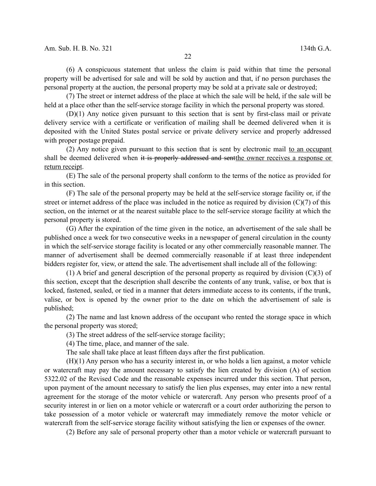(6) A conspicuous statement that unless the claim is paid within that time the personal property will be advertised for sale and will be sold by auction and that, if no person purchases the personal property at the auction, the personal property may be sold at a private sale or destroyed;

(7) The street or internet address of the place at which the sale will be held, if the sale will be held at a place other than the self-service storage facility in which the personal property was stored.

(D)(1) Any notice given pursuant to this section that is sent by first-class mail or private delivery service with a certificate or verification of mailing shall be deemed delivered when it is deposited with the United States postal service or private delivery service and properly addressed with proper postage prepaid.

(2) Any notice given pursuant to this section that is sent by electronic mail to an occupant shall be deemed delivered when it is properly addressed and sent the owner receives a response or return receipt.

(E) The sale of the personal property shall conform to the terms of the notice as provided for in this section.

(F) The sale of the personal property may be held at the self-service storage facility or, if the street or internet address of the place was included in the notice as required by division  $(C)(7)$  of this section, on the internet or at the nearest suitable place to the self-service storage facility at which the personal property is stored.

(G) After the expiration of the time given in the notice, an advertisement of the sale shall be published once a week for two consecutive weeks in a newspaper of general circulation in the county in which the self-service storage facility is located or any other commercially reasonable manner. The manner of advertisement shall be deemed commercially reasonable if at least three independent bidders register for, view, or attend the sale. The advertisement shall include all of the following:

(1) A brief and general description of the personal property as required by division  $(C)(3)$  of this section, except that the description shall describe the contents of any trunk, valise, or box that is locked, fastened, sealed, or tied in a manner that deters immediate access to its contents, if the trunk, valise, or box is opened by the owner prior to the date on which the advertisement of sale is published;

(2) The name and last known address of the occupant who rented the storage space in which the personal property was stored;

(3) The street address of the self-service storage facility;

(4) The time, place, and manner of the sale.

The sale shall take place at least fifteen days after the first publication.

(H)(1) Any person who has a security interest in, or who holds a lien against, a motor vehicle or watercraft may pay the amount necessary to satisfy the lien created by division (A) of section 5322.02 of the Revised Code and the reasonable expenses incurred under this section. That person, upon payment of the amount necessary to satisfy the lien plus expenses, may enter into a new rental agreement for the storage of the motor vehicle or watercraft. Any person who presents proof of a security interest in or lien on a motor vehicle or watercraft or a court order authorizing the person to take possession of a motor vehicle or watercraft may immediately remove the motor vehicle or watercraft from the self-service storage facility without satisfying the lien or expenses of the owner.

(2) Before any sale of personal property other than a motor vehicle or watercraft pursuant to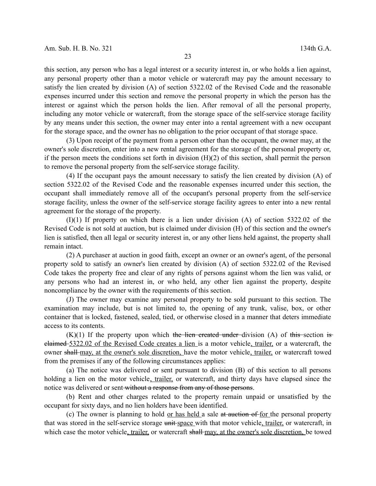this section, any person who has a legal interest or a security interest in, or who holds a lien against, any personal property other than a motor vehicle or watercraft may pay the amount necessary to satisfy the lien created by division (A) of section 5322.02 of the Revised Code and the reasonable expenses incurred under this section and remove the personal property in which the person has the interest or against which the person holds the lien. After removal of all the personal property, including any motor vehicle or watercraft, from the storage space of the self-service storage facility by any means under this section, the owner may enter into a rental agreement with a new occupant for the storage space, and the owner has no obligation to the prior occupant of that storage space.

(3) Upon receipt of the payment from a person other than the occupant, the owner may, at the owner's sole discretion, enter into a new rental agreement for the storage of the personal property or, if the person meets the conditions set forth in division (H)(2) of this section, shall permit the person to remove the personal property from the self-service storage facility.

(4) If the occupant pays the amount necessary to satisfy the lien created by division (A) of section 5322.02 of the Revised Code and the reasonable expenses incurred under this section, the occupant shall immediately remove all of the occupant's personal property from the self-service storage facility, unless the owner of the self-service storage facility agrees to enter into a new rental agreement for the storage of the property.

 $(I)(1)$  If property on which there is a lien under division  $(A)$  of section 5322.02 of the Revised Code is not sold at auction, but is claimed under division (H) of this section and the owner's lien is satisfied, then all legal or security interest in, or any other liens held against, the property shall remain intact.

(2) A purchaser at auction in good faith, except an owner or an owner's agent, of the personal property sold to satisfy an owner's lien created by division (A) of section 5322.02 of the Revised Code takes the property free and clear of any rights of persons against whom the lien was valid, or any persons who had an interest in, or who held, any other lien against the property, despite noncompliance by the owner with the requirements of this section.

(J) The owner may examine any personal property to be sold pursuant to this section. The examination may include, but is not limited to, the opening of any trunk, valise, box, or other container that is locked, fastened, sealed, tied, or otherwise closed in a manner that deters immediate access to its contents.

 $(K)(1)$  If the property upon which the lien created under division (A) of this section is claimed 5322.02 of the Revised Code creates a lien is a motor vehicle, trailer, or a watercraft, the owner shall-may, at the owner's sole discretion, have the motor vehicle, trailer, or watercraft towed from the premises if any of the following circumstances applies:

(a) The notice was delivered or sent pursuant to division (B) of this section to all persons holding a lien on the motor vehicle, trailer, or watercraft, and thirty days have elapsed since the notice was delivered or sent-without a response from any of those persons.

(b) Rent and other charges related to the property remain unpaid or unsatisfied by the occupant for sixty days, and no lien holders have been identified.

(c) The owner is planning to hold or has held a sale  $at$  auction of for the personal property that was stored in the self-service storage unit-space with that motor vehicle, trailer, or watercraft, in which case the motor vehicle, trailer, or watercraft shall may, at the owner's sole discretion, be towed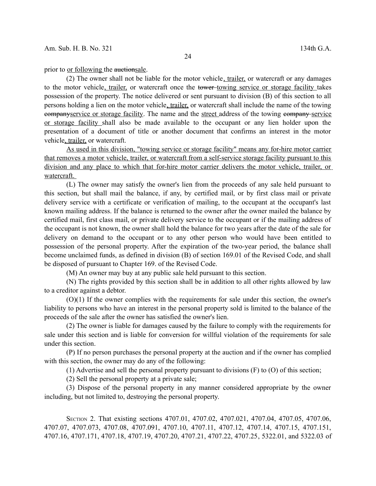prior to <u>or following</u> the auctionsale.

(2) The owner shall not be liable for the motor vehicle, trailer, or watercraft or any damages to the motor vehicle, trailer, or watercraft once the tower-towing service or storage facility takes possession of the property. The notice delivered or sent pursuant to division (B) of this section to all persons holding a lien on the motor vehicle, trailer, or watercraft shall include the name of the towing companyservice or storage facility. The name and the street address of the towing company service or storage facility shall also be made available to the occupant or any lien holder upon the presentation of a document of title or another document that confirms an interest in the motor vehicle, trailer, or watercraft.

As used in this division, "towing service or storage facility" means any for-hire motor carrier that removes a motor vehicle, trailer, or watercraft from a self-service storage facility pursuant to this division and any place to which that for-hire motor carrier delivers the motor vehicle, trailer, or watercraft.

(L) The owner may satisfy the owner's lien from the proceeds of any sale held pursuant to this section, but shall mail the balance, if any, by certified mail, or by first class mail or private delivery service with a certificate or verification of mailing, to the occupant at the occupant's last known mailing address. If the balance is returned to the owner after the owner mailed the balance by certified mail, first class mail, or private delivery service to the occupant or if the mailing address of the occupant is not known, the owner shall hold the balance for two years after the date of the sale for delivery on demand to the occupant or to any other person who would have been entitled to possession of the personal property. After the expiration of the two-year period, the balance shall become unclaimed funds, as defined in division (B) of section 169.01 of the Revised Code, and shall be disposed of pursuant to Chapter 169. of the Revised Code.

(M) An owner may buy at any public sale held pursuant to this section.

(N) The rights provided by this section shall be in addition to all other rights allowed by law to a creditor against a debtor.

(O)(1) If the owner complies with the requirements for sale under this section, the owner's liability to persons who have an interest in the personal property sold is limited to the balance of the proceeds of the sale after the owner has satisfied the owner's lien.

(2) The owner is liable for damages caused by the failure to comply with the requirements for sale under this section and is liable for conversion for willful violation of the requirements for sale under this section.

(P) If no person purchases the personal property at the auction and if the owner has complied with this section, the owner may do any of the following:

(1) Advertise and sell the personal property pursuant to divisions (F) to (O) of this section;

(2) Sell the personal property at a private sale;

(3) Dispose of the personal property in any manner considered appropriate by the owner including, but not limited to, destroying the personal property.

SECTION 2. That existing sections 4707.01, 4707.02, 4707.021, 4707.04, 4707.05, 4707.06, 4707.07, 4707.073, 4707.08, 4707.091, 4707.10, 4707.11, 4707.12, 4707.14, 4707.15, 4707.151, 4707.16, 4707.171, 4707.18, 4707.19, 4707.20, 4707.21, 4707.22, 4707.25, 5322.01, and 5322.03 of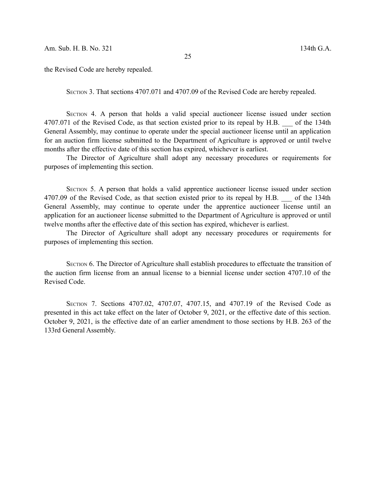the Revised Code are hereby repealed.

SECTION 3. That sections 4707.071 and 4707.09 of the Revised Code are hereby repealed.

SECTION 4. A person that holds a valid special auctioneer license issued under section 4707.071 of the Revised Code, as that section existed prior to its repeal by H.B. of the 134th General Assembly, may continue to operate under the special auctioneer license until an application for an auction firm license submitted to the Department of Agriculture is approved or until twelve months after the effective date of this section has expired, whichever is earliest.

The Director of Agriculture shall adopt any necessary procedures or requirements for purposes of implementing this section.

SECTION 5. A person that holds a valid apprentice auctioneer license issued under section 4707.09 of the Revised Code, as that section existed prior to its repeal by H.B. of the 134th General Assembly, may continue to operate under the apprentice auctioneer license until an application for an auctioneer license submitted to the Department of Agriculture is approved or until twelve months after the effective date of this section has expired, whichever is earliest.

The Director of Agriculture shall adopt any necessary procedures or requirements for purposes of implementing this section.

SECTION 6. The Director of Agriculture shall establish procedures to effectuate the transition of the auction firm license from an annual license to a biennial license under section 4707.10 of the Revised Code.

SECTION 7. Sections 4707.02, 4707.07, 4707.15, and 4707.19 of the Revised Code as presented in this act take effect on the later of October 9, 2021, or the effective date of this section. October 9, 2021, is the effective date of an earlier amendment to those sections by H.B. 263 of the 133rd General Assembly.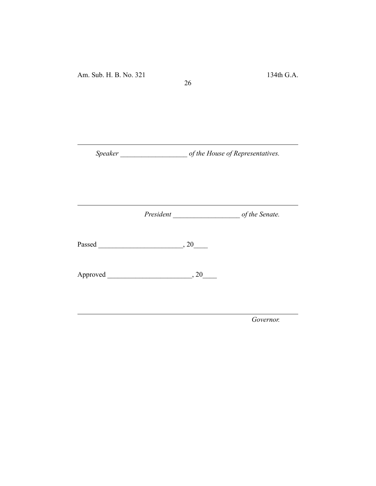*Speaker \_\_\_\_\_\_\_\_\_\_\_\_\_\_\_\_\_\_\_ of the House of Representatives.*

26

*President \_\_\_\_\_\_\_\_\_\_\_\_\_\_\_\_\_\_\_ of the Senate.*

Passed \_\_\_\_\_\_\_\_\_\_\_\_\_\_\_\_\_\_\_\_\_\_\_\_, 20\_\_\_\_

Approved \_\_\_\_\_\_\_\_\_\_\_\_\_\_\_\_\_\_\_\_\_\_\_\_, 20\_\_\_\_

*Governor.*